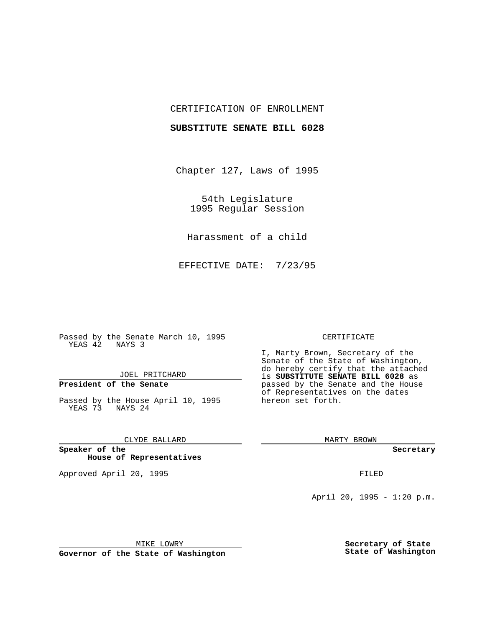## CERTIFICATION OF ENROLLMENT

### **SUBSTITUTE SENATE BILL 6028**

Chapter 127, Laws of 1995

54th Legislature 1995 Regular Session

Harassment of a child

EFFECTIVE DATE: 7/23/95

Passed by the Senate March 10, 1995 YEAS 42 NAYS 3

JOEL PRITCHARD

# **President of the Senate**

Passed by the House April 10, 1995 YEAS 73 NAYS 24

CLYDE BALLARD

**Speaker of the House of Representatives**

Approved April 20, 1995 FILED

#### CERTIFICATE

I, Marty Brown, Secretary of the Senate of the State of Washington, do hereby certify that the attached is **SUBSTITUTE SENATE BILL 6028** as passed by the Senate and the House of Representatives on the dates hereon set forth.

MARTY BROWN

**Secretary**

April 20, 1995 - 1:20 p.m.

MIKE LOWRY

**Governor of the State of Washington**

**Secretary of State State of Washington**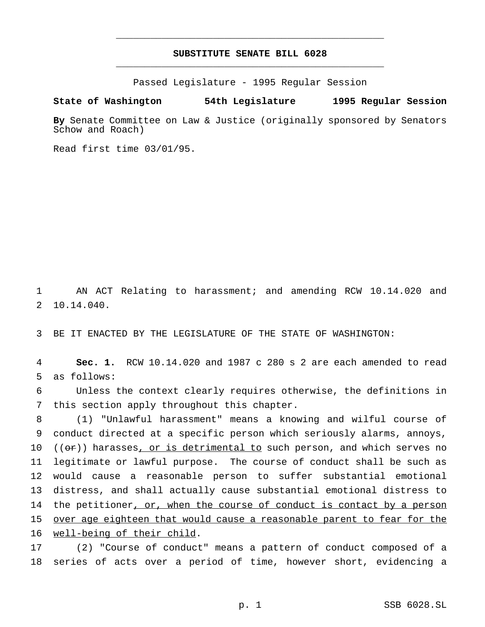## **SUBSTITUTE SENATE BILL 6028** \_\_\_\_\_\_\_\_\_\_\_\_\_\_\_\_\_\_\_\_\_\_\_\_\_\_\_\_\_\_\_\_\_\_\_\_\_\_\_\_\_\_\_\_\_\_\_

\_\_\_\_\_\_\_\_\_\_\_\_\_\_\_\_\_\_\_\_\_\_\_\_\_\_\_\_\_\_\_\_\_\_\_\_\_\_\_\_\_\_\_\_\_\_\_

Passed Legislature - 1995 Regular Session

#### **State of Washington 54th Legislature 1995 Regular Session**

**By** Senate Committee on Law & Justice (originally sponsored by Senators Schow and Roach)

Read first time 03/01/95.

 AN ACT Relating to harassment; and amending RCW 10.14.020 and 10.14.040.

BE IT ENACTED BY THE LEGISLATURE OF THE STATE OF WASHINGTON:

 **Sec. 1.** RCW 10.14.020 and 1987 c 280 s 2 are each amended to read as follows:

 Unless the context clearly requires otherwise, the definitions in this section apply throughout this chapter.

 (1) "Unlawful harassment" means a knowing and wilful course of conduct directed at a specific person which seriously alarms, annoys,  $((or))$  harasses, or is detrimental to such person, and which serves no legitimate or lawful purpose. The course of conduct shall be such as would cause a reasonable person to suffer substantial emotional distress, and shall actually cause substantial emotional distress to 14 the petitioner, or, when the course of conduct is contact by a person over age eighteen that would cause a reasonable parent to fear for the well-being of their child.

 (2) "Course of conduct" means a pattern of conduct composed of a series of acts over a period of time, however short, evidencing a